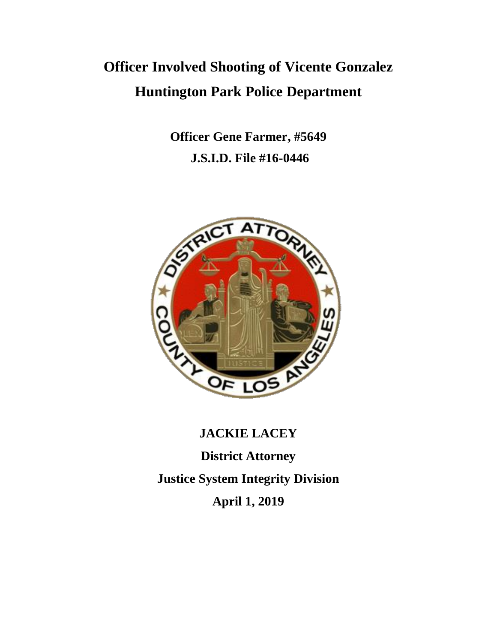# **Officer Involved Shooting of Vicente Gonzalez Huntington Park Police Department**

**Officer Gene Farmer, #5649 J.S.I.D. File #16-0446**



## **JACKIE LACEY**

**District Attorney Justice System Integrity Division April 1, 2019**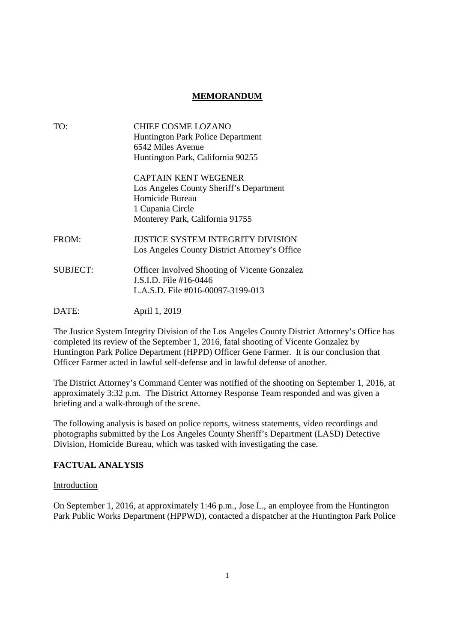#### **MEMORANDUM**

| TO:             | <b>CHIEF COSME LOZANO</b><br><b>Huntington Park Police Department</b><br>6542 Miles Avenue<br>Huntington Park, California 90255                  |
|-----------------|--------------------------------------------------------------------------------------------------------------------------------------------------|
|                 | <b>CAPTAIN KENT WEGENER</b><br>Los Angeles County Sheriff's Department<br>Homicide Bureau<br>1 Cupania Circle<br>Monterey Park, California 91755 |
| FROM:           | JUSTICE SYSTEM INTEGRITY DIVISION<br>Los Angeles County District Attorney's Office                                                               |
| <b>SUBJECT:</b> | <b>Officer Involved Shooting of Vicente Gonzalez</b><br>J.S.I.D. File #16-0446<br>L.A.S.D. File #016-00097-3199-013                              |
| DATE:           | April 1, 2019                                                                                                                                    |

The Justice System Integrity Division of the Los Angeles County District Attorney's Office has completed its review of the September 1, 2016, fatal shooting of Vicente Gonzalez by Huntington Park Police Department (HPPD) Officer Gene Farmer. It is our conclusion that Officer Farmer acted in lawful self-defense and in lawful defense of another.

The District Attorney's Command Center was notified of the shooting on September 1, 2016, at approximately 3:32 p.m. The District Attorney Response Team responded and was given a briefing and a walk-through of the scene.

The following analysis is based on police reports, witness statements, video recordings and photographs submitted by the Los Angeles County Sheriff's Department (LASD) Detective Division, Homicide Bureau, which was tasked with investigating the case.

#### **FACTUAL ANALYSIS**

#### Introduction

On September 1, 2016, at approximately 1:46 p.m., Jose L., an employee from the Huntington Park Public Works Department (HPPWD), contacted a dispatcher at the Huntington Park Police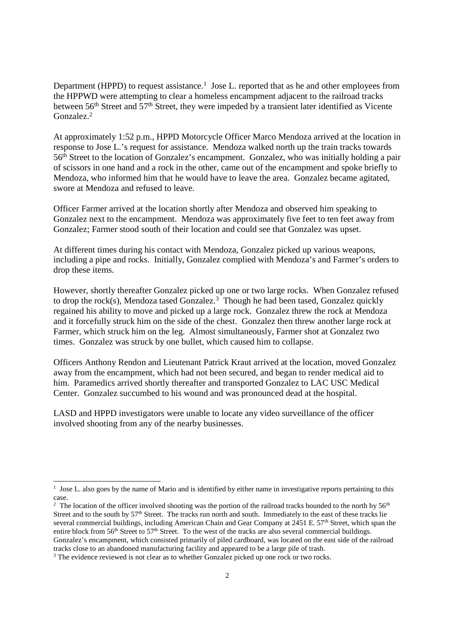Department (HPPD) to request assistance.<sup>1</sup> Jose L. reported that as he and other employees from the HPPWD were attempting to clear a homeless encampment adjacent to the railroad tracks between 56<sup>th</sup> Street and 57<sup>th</sup> Street, they were impeded by a transient later identified as Vicente Gonzalez.<sup>2</sup>

At approximately 1:52 p.m., HPPD Motorcycle Officer Marco Mendoza arrived at the location in response to Jose L.'s request for assistance. Mendoza walked north up the train tracks towards 56th Street to the location of Gonzalez's encampment. Gonzalez, who was initially holding a pair of scissors in one hand and a rock in the other, came out of the encampment and spoke briefly to Mendoza, who informed him that he would have to leave the area. Gonzalez became agitated, swore at Mendoza and refused to leave.

Officer Farmer arrived at the location shortly after Mendoza and observed him speaking to Gonzalez next to the encampment. Mendoza was approximately five feet to ten feet away from Gonzalez; Farmer stood south of their location and could see that Gonzalez was upset.

At different times during his contact with Mendoza, Gonzalez picked up various weapons, including a pipe and rocks. Initially, Gonzalez complied with Mendoza's and Farmer's orders to drop these items.

However, shortly thereafter Gonzalez picked up one or two large rocks. When Gonzalez refused to drop the rock(s), Mendoza tased Gonzalez.<sup>3</sup> Though he had been tased, Gonzalez quickly regained his ability to move and picked up a large rock. Gonzalez threw the rock at Mendoza and it forcefully struck him on the side of the chest. Gonzalez then threw another large rock at Farmer, which struck him on the leg. Almost simultaneously, Farmer shot at Gonzalez two times. Gonzalez was struck by one bullet, which caused him to collapse.

Officers Anthony Rendon and Lieutenant Patrick Kraut arrived at the location, moved Gonzalez away from the encampment, which had not been secured, and began to render medical aid to him. Paramedics arrived shortly thereafter and transported Gonzalez to LAC USC Medical Center. Gonzalez succumbed to his wound and was pronounced dead at the hospital.

LASD and HPPD investigators were unable to locate any video surveillance of the officer involved shooting from any of the nearby businesses.

<sup>&</sup>lt;sup>1</sup> Jose L. also goes by the name of Mario and is identified by either name in investigative reports pertaining to this case.

<sup>&</sup>lt;sup>2</sup> The location of the officer involved shooting was the portion of the railroad tracks bounded to the north by  $56<sup>th</sup>$ Street and to the south by 57<sup>th</sup> Street. The tracks run north and south. Immediately to the east of these tracks lie several commercial buildings, including American Chain and Gear Company at 2451 E. 57<sup>th</sup> Street, which span the entire block from 56<sup>th</sup> Street to 57<sup>th</sup> Street. To the west of the tracks are also several commercial buildings. Gonzalez's encampment, which consisted primarily of piled cardboard, was located on the east side of the railroad tracks close to an abandoned manufacturing facility and appeared to be a large pile of trash.

<sup>&</sup>lt;sup>3</sup> The evidence reviewed is not clear as to whether Gonzalez picked up one rock or two rocks.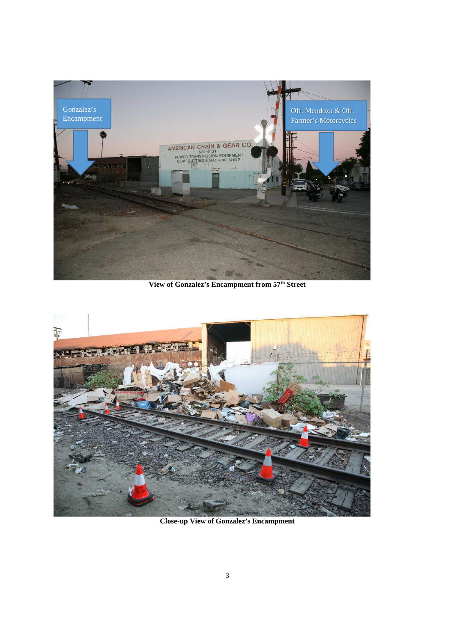

**View of Gonzalez's Encampment from 57th Street**



**Close-up View of Gonzalez's Encampment**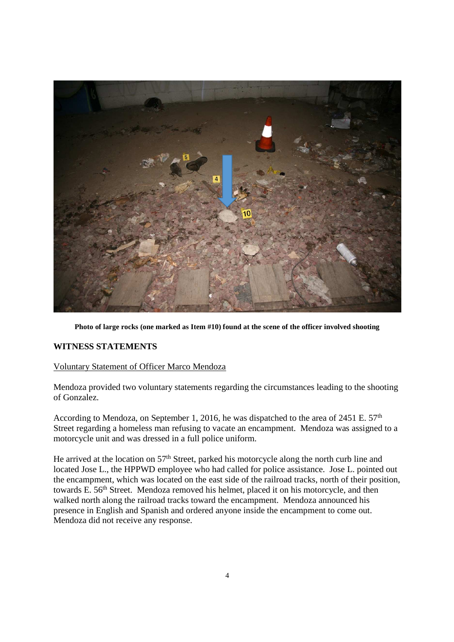

**Photo of large rocks (one marked as Item #10) found at the scene of the officer involved shooting**

#### **WITNESS STATEMENTS**

#### Voluntary Statement of Officer Marco Mendoza

Mendoza provided two voluntary statements regarding the circumstances leading to the shooting of Gonzalez.

According to Mendoza, on September 1, 2016, he was dispatched to the area of 2451 E. 57<sup>th</sup> Street regarding a homeless man refusing to vacate an encampment. Mendoza was assigned to a motorcycle unit and was dressed in a full police uniform.

He arrived at the location on 57<sup>th</sup> Street, parked his motorcycle along the north curb line and located Jose L., the HPPWD employee who had called for police assistance. Jose L. pointed out the encampment, which was located on the east side of the railroad tracks, north of their position, towards E. 56<sup>th</sup> Street. Mendoza removed his helmet, placed it on his motorcycle, and then walked north along the railroad tracks toward the encampment. Mendoza announced his presence in English and Spanish and ordered anyone inside the encampment to come out. Mendoza did not receive any response.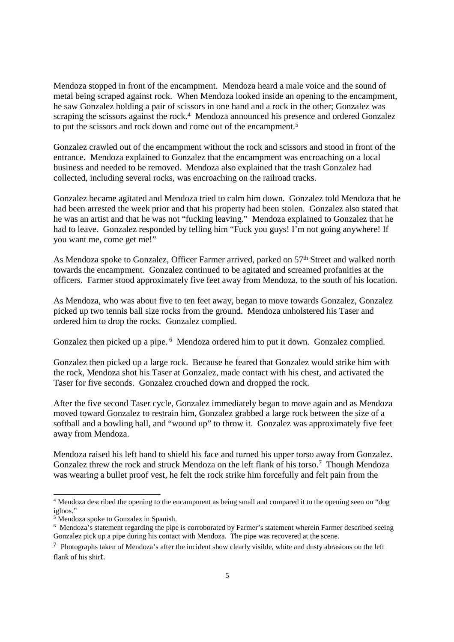Mendoza stopped in front of the encampment. Mendoza heard a male voice and the sound of metal being scraped against rock. When Mendoza looked inside an opening to the encampment, he saw Gonzalez holding a pair of scissors in one hand and a rock in the other; Gonzalez was scraping the scissors against the rock.<sup>4</sup> Mendoza announced his presence and ordered Gonzalez to put the scissors and rock down and come out of the encampment.<sup>5</sup>

Gonzalez crawled out of the encampment without the rock and scissors and stood in front of the entrance. Mendoza explained to Gonzalez that the encampment was encroaching on a local business and needed to be removed. Mendoza also explained that the trash Gonzalez had collected, including several rocks, was encroaching on the railroad tracks.

Gonzalez became agitated and Mendoza tried to calm him down. Gonzalez told Mendoza that he had been arrested the week prior and that his property had been stolen. Gonzalez also stated that he was an artist and that he was not "fucking leaving." Mendoza explained to Gonzalez that he had to leave. Gonzalez responded by telling him "Fuck you guys! I'm not going anywhere! If you want me, come get me!"

As Mendoza spoke to Gonzalez, Officer Farmer arrived, parked on 57<sup>th</sup> Street and walked north towards the encampment. Gonzalez continued to be agitated and screamed profanities at the officers. Farmer stood approximately five feet away from Mendoza, to the south of his location.

As Mendoza, who was about five to ten feet away, began to move towards Gonzalez, Gonzalez picked up two tennis ball size rocks from the ground. Mendoza unholstered his Taser and ordered him to drop the rocks. Gonzalez complied.

Gonzalez then picked up a pipe. <sup>6</sup> Mendoza ordered him to put it down. Gonzalez complied.

Gonzalez then picked up a large rock. Because he feared that Gonzalez would strike him with the rock, Mendoza shot his Taser at Gonzalez, made contact with his chest, and activated the Taser for five seconds. Gonzalez crouched down and dropped the rock.

After the five second Taser cycle, Gonzalez immediately began to move again and as Mendoza moved toward Gonzalez to restrain him, Gonzalez grabbed a large rock between the size of a softball and a bowling ball, and "wound up" to throw it. Gonzalez was approximately five feet away from Mendoza.

Mendoza raised his left hand to shield his face and turned his upper torso away from Gonzalez. Gonzalez threw the rock and struck Mendoza on the left flank of his torso.<sup>7</sup> Though Mendoza was wearing a bullet proof vest, he felt the rock strike him forcefully and felt pain from the

<sup>4</sup> Mendoza described the opening to the encampment as being small and compared it to the opening seen on "dog igloos."

<sup>5</sup> Mendoza spoke to Gonzalez in Spanish.

<sup>6</sup> Mendoza's statement regarding the pipe is corroborated by Farmer's statement wherein Farmer described seeing Gonzalez pick up a pipe during his contact with Mendoza. The pipe was recovered at the scene.

<sup>7</sup> Photographs taken of Mendoza's after the incident show clearly visible, white and dusty abrasions on the left flank of his shirt.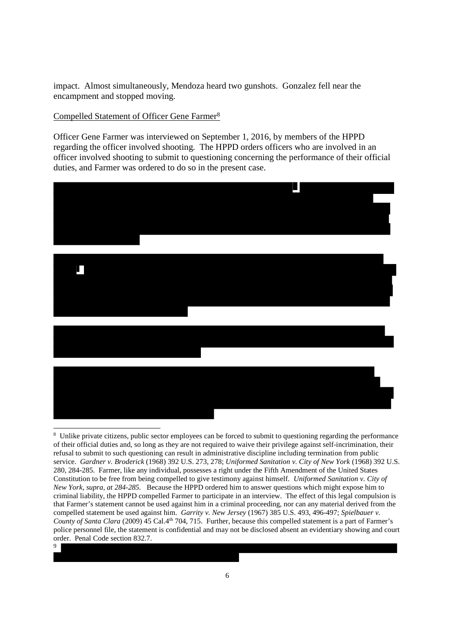impact. Almost simultaneously, Mendoza heard two gunshots. Gonzalez fell near the encampment and stopped moving.

### Compelled Statement of Officer Gene Farmer<sup>8</sup>

Officer Gene Farmer was interviewed on September 1, 2016, by members of the HPPD regarding the officer involved shooting. The HPPD orders officers who are involved in an officer involved shooting to submit to questioning concerning the performance of their official duties, and Farmer was ordered to do so in the present case.



<sup>&</sup>lt;sup>8</sup> Unlike private citizens, public sector employees can be forced to submit to questioning regarding the performance of their official duties and, so long as they are not required to waive their privilege against self-incrimination, their refusal to submit to such questioning can result in administrative discipline including termination from public service. *Gardner v. Broderick* (1968) 392 U.S. 273, 278; *Uniformed Sanitation v. City of New York* (1968) 392 U.S. 280, 284-285. Farmer, like any individual, possesses a right under the Fifth Amendment of the United States Constitution to be free from being compelled to give testimony against himself. *Uniformed Sanitation v. City of New York, supra, at 284-285.* Because the HPPD ordered him to answer questions which might expose him to criminal liability, the HPPD compelled Farmer to participate in an interview. The effect of this legal compulsion is that Farmer's statement cannot be used against him in a criminal proceeding, nor can any material derived from the compelled statement be used against him. *Garrity v. New Jersey* (1967) 385 U.S. 493, 496-497; *Spielbauer v. County of Santa Clara* (2009) 45 Cal.4<sup>th</sup> 704, 715. Further, because this compelled statement is a part of Farmer's police personnel file, the statement is confidential and may not be disclosed absent an evidentiary showing and court order. Penal Code section 832.7. 9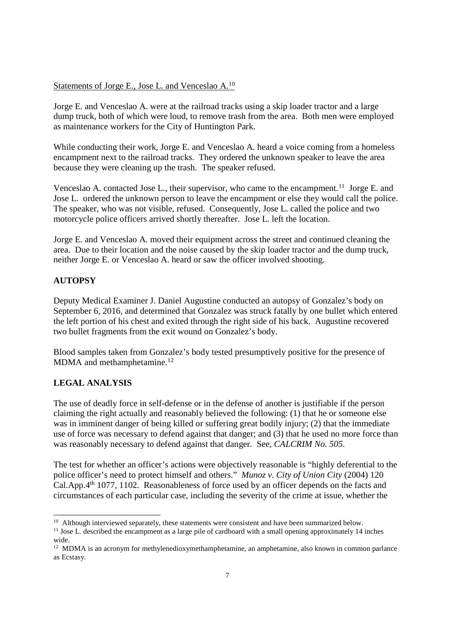#### Statements of Jorge E., Jose L. and Venceslao A.<sup>10</sup>

Jorge E. and Venceslao A. were at the railroad tracks using a skip loader tractor and a large dump truck, both of which were loud, to remove trash from the area. Both men were employed as maintenance workers for the City of Huntington Park.

While conducting their work, Jorge E. and Venceslao A. heard a voice coming from a homeless encampment next to the railroad tracks. They ordered the unknown speaker to leave the area because they were cleaning up the trash. The speaker refused.

Venceslao A. contacted Jose L., their supervisor, who came to the encampment.<sup>11</sup> Jorge E. and Jose L. ordered the unknown person to leave the encampment or else they would call the police. The speaker, who was not visible, refused. Consequently, Jose L. called the police and two motorcycle police officers arrived shortly thereafter. Jose L. left the location.

Jorge E. and Venceslao A. moved their equipment across the street and continued cleaning the area. Due to their location and the noise caused by the skip loader tractor and the dump truck, neither Jorge E. or Venceslao A. heard or saw the officer involved shooting.

#### **AUTOPSY**

Deputy Medical Examiner J. Daniel Augustine conducted an autopsy of Gonzalez's body on September 6, 2016, and determined that Gonzalez was struck fatally by one bullet which entered the left portion of his chest and exited through the right side of his back. Augustine recovered two bullet fragments from the exit wound on Gonzalez's body.

Blood samples taken from Gonzalez's body tested presumptively positive for the presence of MDMA and methamphetamine.<sup>12</sup>

### **LEGAL ANALYSIS**

The use of deadly force in self-defense or in the defense of another is justifiable if the person claiming the right actually and reasonably believed the following: (1) that he or someone else was in imminent danger of being killed or suffering great bodily injury; (2) that the immediate use of force was necessary to defend against that danger; and (3) that he used no more force than was reasonably necessary to defend against that danger. See, *CALCRIM No. 505*.

The test for whether an officer's actions were objectively reasonable is "highly deferential to the police officer's need to protect himself and others." *Munoz v. City of Union City* (2004) 120 Cal.App.4th 1077, 1102. Reasonableness of force used by an officer depends on the facts and circumstances of each particular case, including the severity of the crime at issue, whether the

 $10$  Although interviewed separately, these statements were consistent and have been summarized below.

<sup>&</sup>lt;sup>11</sup> Jose L. described the encampment as a large pile of cardboard with a small opening approximately 14 inches wide.

<sup>&</sup>lt;sup>12</sup> MDMA is an acronym for methylenedioxymethamphetamine, an amphetamine, also known in common parlance as Ecstasy.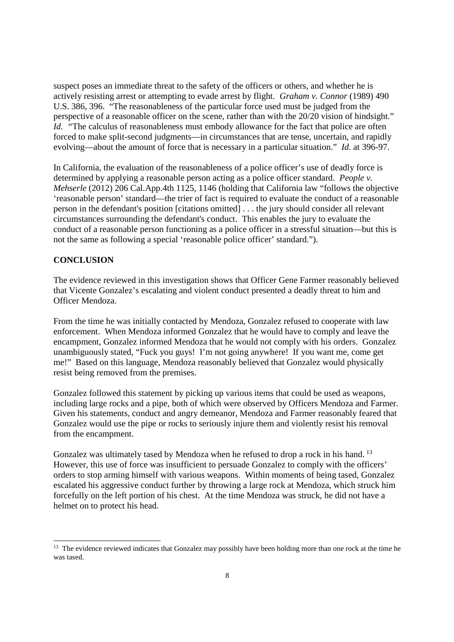suspect poses an immediate threat to the safety of the officers or others, and whether he is actively resisting arrest or attempting to evade arrest by flight. *Graham v. Connor* (1989) 490 U.S. 386, 396. "The reasonableness of the particular force used must be judged from the perspective of a reasonable officer on the scene, rather than with the 20/20 vision of hindsight." *Id.* "The calculus of reasonableness must embody allowance for the fact that police are often forced to make split-second judgments—in circumstances that are tense, uncertain, and rapidly evolving—about the amount of force that is necessary in a particular situation." *Id.* at 396-97.

In California, the evaluation of the reasonableness of a police officer's use of deadly force is determined by applying a reasonable person acting as a police officer standard. *People v. Mehserle* (2012) 206 Cal.App.4th 1125, 1146 (holding that California law "follows the objective 'reasonable person' standard—the trier of fact is required to evaluate the conduct of a reasonable person in the defendant's position [citations omitted] . . . the jury should consider all relevant circumstances surrounding the defendant's conduct. This enables the jury to evaluate the conduct of a reasonable person functioning as a police officer in a stressful situation—but this is not the same as following a special 'reasonable police officer' standard.").

### **CONCLUSION**

The evidence reviewed in this investigation shows that Officer Gene Farmer reasonably believed that Vicente Gonzalez's escalating and violent conduct presented a deadly threat to him and Officer Mendoza.

From the time he was initially contacted by Mendoza, Gonzalez refused to cooperate with law enforcement. When Mendoza informed Gonzalez that he would have to comply and leave the encampment, Gonzalez informed Mendoza that he would not comply with his orders. Gonzalez unambiguously stated, "Fuck you guys! I'm not going anywhere! If you want me, come get me!" Based on this language, Mendoza reasonably believed that Gonzalez would physically resist being removed from the premises.

Gonzalez followed this statement by picking up various items that could be used as weapons, including large rocks and a pipe, both of which were observed by Officers Mendoza and Farmer. Given his statements, conduct and angry demeanor, Mendoza and Farmer reasonably feared that Gonzalez would use the pipe or rocks to seriously injure them and violently resist his removal from the encampment.

Gonzalez was ultimately tased by Mendoza when he refused to drop a rock in his hand.<sup>13</sup> However, this use of force was insufficient to persuade Gonzalez to comply with the officers' orders to stop arming himself with various weapons. Within moments of being tased, Gonzalez escalated his aggressive conduct further by throwing a large rock at Mendoza, which struck him forcefully on the left portion of his chest. At the time Mendoza was struck, he did not have a helmet on to protect his head.

<sup>&</sup>lt;sup>13</sup> The evidence reviewed indicates that Gonzalez may possibly have been holding more than one rock at the time he was tased.